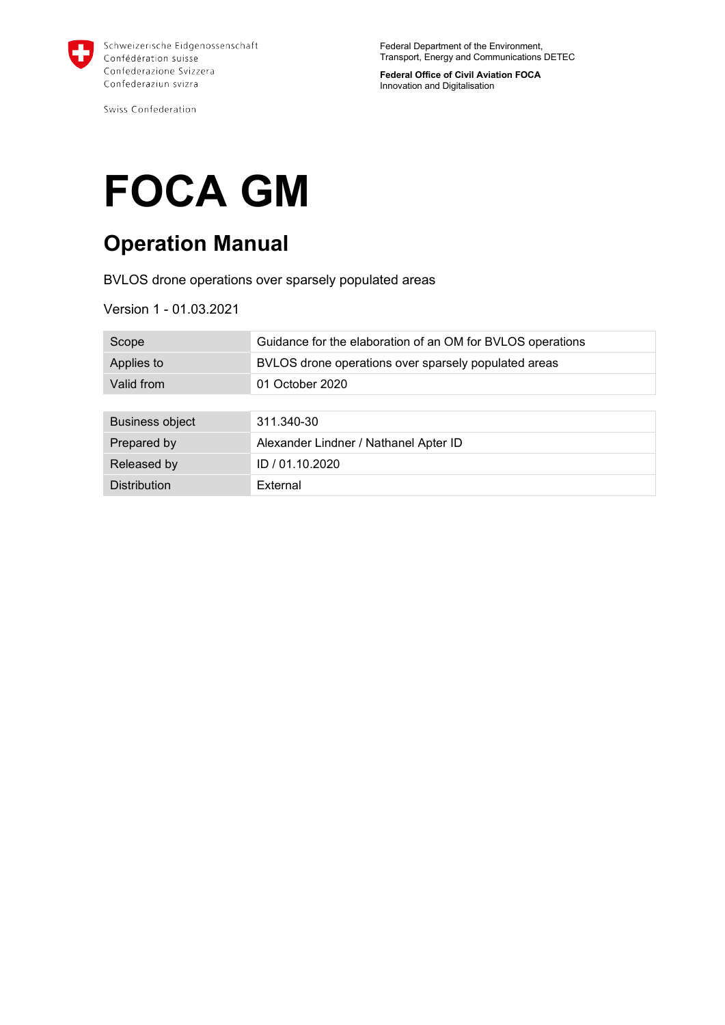

Swiss Confederation

Federal Department of the Environment, Transport, Energy and Communications DETEC

**Federal Office of Civil Aviation FOCA** Innovation and Digitalisation

# **FOCA GM**

# **Operation Manual**

BVLOS drone operations over sparsely populated areas

Version 1 - 01.03.2021

| Scope                  | Guidance for the elaboration of an OM for BVLOS operations |
|------------------------|------------------------------------------------------------|
| Applies to             | BVLOS drone operations over sparsely populated areas       |
| Valid from             | 01 October 2020                                            |
|                        |                                                            |
| <b>Business object</b> | 311.340-30                                                 |
| Prepared by            | Alexander Lindner / Nathanel Apter ID                      |
| Released by            | ID / 01.10.2020                                            |
| <b>Distribution</b>    | External                                                   |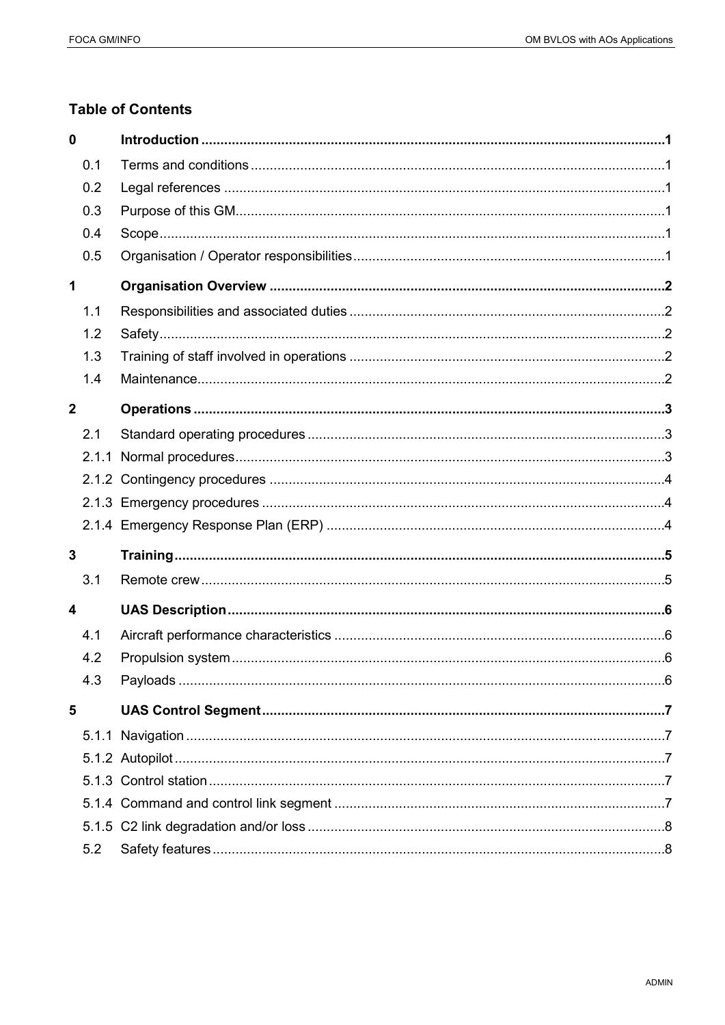# **Table of Contents**

| $\mathbf 0$             |     |  |
|-------------------------|-----|--|
|                         | 0.1 |  |
|                         | 0.2 |  |
|                         | 0.3 |  |
|                         | 0.4 |  |
|                         | 0.5 |  |
| 1                       |     |  |
|                         | 1.1 |  |
|                         | 1.2 |  |
|                         | 1.3 |  |
|                         | 1.4 |  |
| $\mathbf{2}$            |     |  |
|                         | 2.1 |  |
|                         |     |  |
|                         |     |  |
|                         |     |  |
|                         |     |  |
| $\mathbf{3}$            |     |  |
|                         | 3.1 |  |
|                         |     |  |
| $\overline{\mathbf{4}}$ |     |  |
|                         | 4.1 |  |
|                         | 4.2 |  |
|                         | 4.3 |  |
| 5                       |     |  |
|                         |     |  |
|                         |     |  |
|                         |     |  |
|                         |     |  |
|                         |     |  |
|                         | 5.2 |  |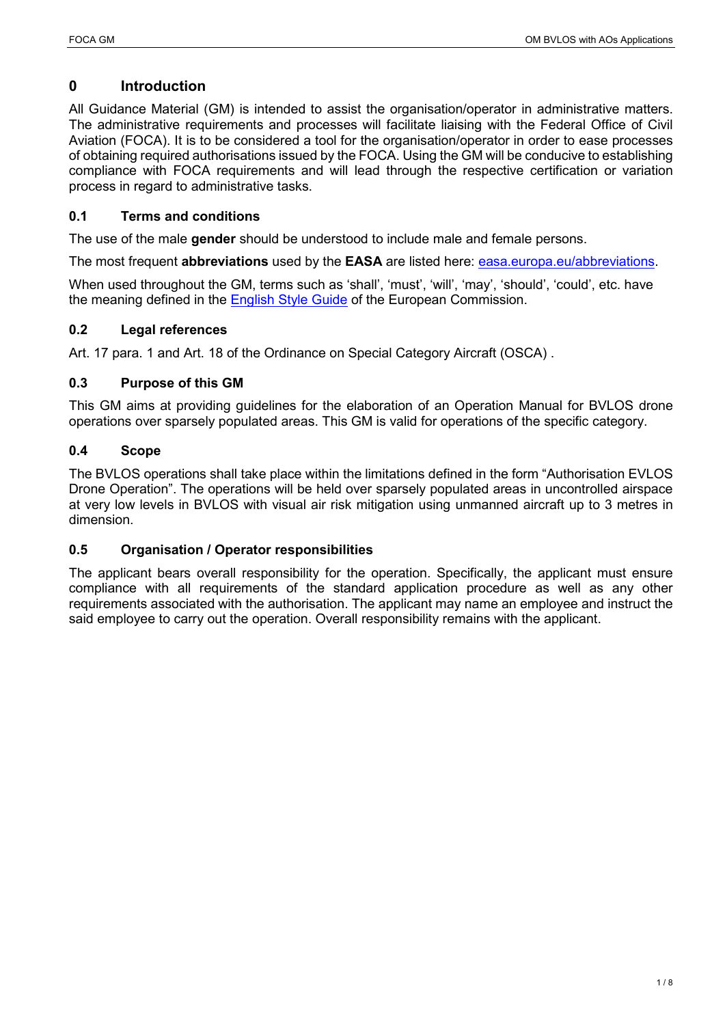# <span id="page-2-0"></span>**0 Introduction**

All Guidance Material (GM) is intended to assist the organisation/operator in administrative matters. The administrative requirements and processes will facilitate liaising with the Federal Office of Civil Aviation (FOCA). It is to be considered a tool for the organisation/operator in order to ease processes of obtaining required authorisations issued by the FOCA. Using the GM will be conducive to establishing compliance with FOCA requirements and will lead through the respective certification or variation process in regard to administrative tasks.

# <span id="page-2-1"></span>**0.1 Terms and conditions**

The use of the male **gender** should be understood to include male and female persons.

The most frequent **abbreviations** used by the **EASA** are listed here: [easa.europa.eu/abbreviations.](http://www.easa.europa.eu/abbreviations)

When used throughout the GM, terms such as 'shall', 'must', 'will', 'may', 'should', 'could', etc. have the meaning defined in the [English Style Guide](https://ec.europa.eu/info/files/english-resources-english-style-guide_en) of the European Commission.

# <span id="page-2-2"></span>**0.2 Legal references**

Art. 17 para. 1 and Art. 18 of the Ordinance on Special Category Aircraft (OSCA) .

# <span id="page-2-3"></span>**0.3 Purpose of this GM**

This GM aims at providing guidelines for the elaboration of an Operation Manual for BVLOS drone operations over sparsely populated areas. This GM is valid for operations of the specific category.

# <span id="page-2-4"></span>**0.4 Scope**

The BVLOS operations shall take place within the limitations defined in the form "Authorisation EVLOS Drone Operation". The operations will be held over sparsely populated areas in uncontrolled airspace at very low levels in BVLOS with visual air risk mitigation using unmanned aircraft up to 3 metres in dimension.

# <span id="page-2-5"></span>**0.5 Organisation / Operator responsibilities**

The applicant bears overall responsibility for the operation. Specifically, the applicant must ensure compliance with all requirements of the standard application procedure as well as any other requirements associated with the authorisation. The applicant may name an employee and instruct the said employee to carry out the operation. Overall responsibility remains with the applicant.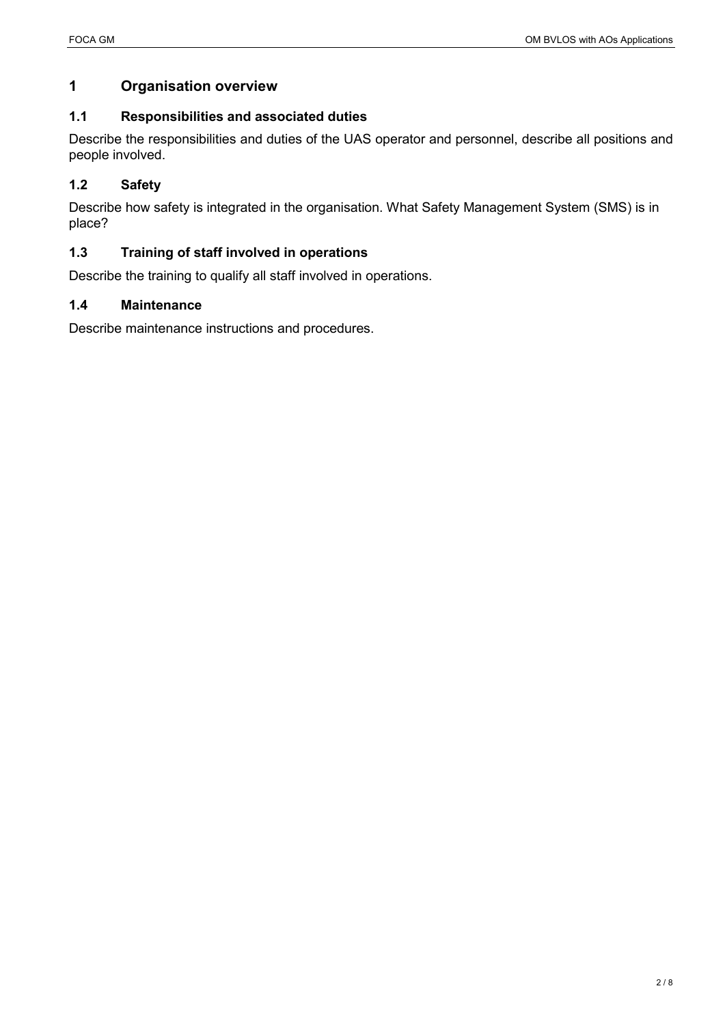# <span id="page-3-0"></span>**1 Organisation overview**

#### <span id="page-3-1"></span>**1.1 Responsibilities and associated duties**

Describe the responsibilities and duties of the UAS operator and personnel, describe all positions and people involved.

# <span id="page-3-2"></span>**1.2 Safety**

Describe how safety is integrated in the organisation. What Safety Management System (SMS) is in place?

# <span id="page-3-3"></span>**1.3 Training of staff involved in operations**

Describe the training to qualify all staff involved in operations.

#### <span id="page-3-4"></span>**1.4 Maintenance**

Describe maintenance instructions and procedures.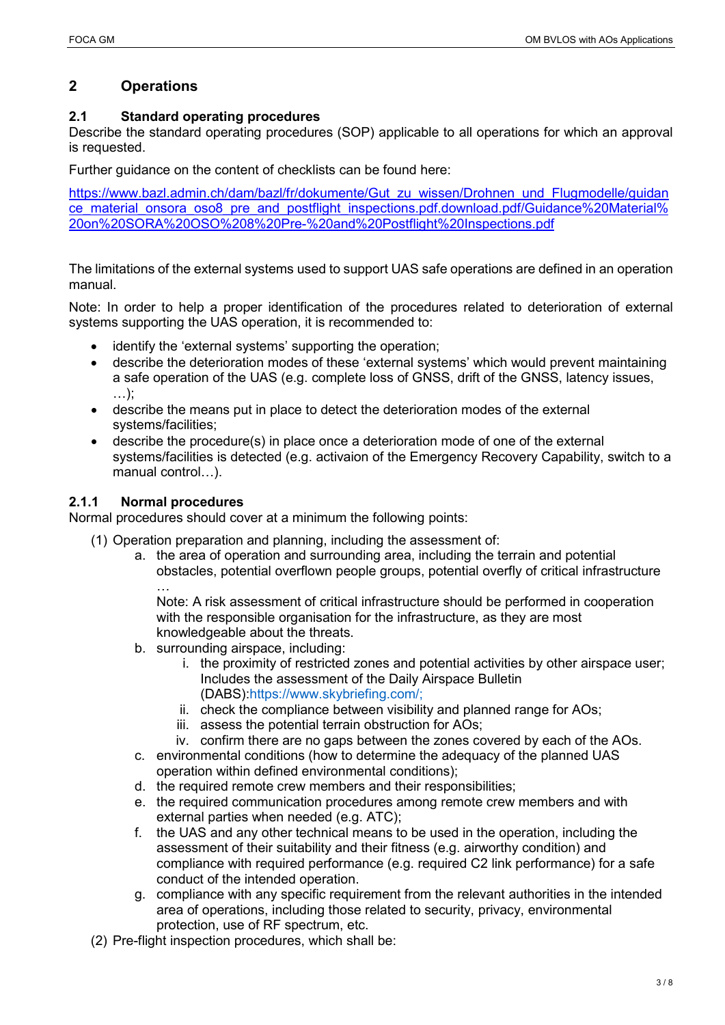# <span id="page-4-0"></span>**2 Operations**

# <span id="page-4-1"></span>**2.1 Standard operating procedures**

Describe the standard operating procedures (SOP) applicable to all operations for which an approval is requested.

Further guidance on the content of checklists can be found here:

[https://www.bazl.admin.ch/dam/bazl/fr/dokumente/Gut\\_zu\\_wissen/Drohnen\\_und\\_Flugmodelle/guidan](https://www.bazl.admin.ch/dam/bazl/fr/dokumente/Gut_zu_wissen/Drohnen_und_Flugmodelle/guidance_material_onsora_oso8_pre_and_postflight_inspections.pdf.download.pdf/Guidance%20Material%20on%20SORA%20OSO%208%20Pre-%20and%20Postflight%20Inspections.pdf) [ce\\_material\\_onsora\\_oso8\\_pre\\_and\\_postflight\\_inspections.pdf.download.pdf/Guidance%20Material%](https://www.bazl.admin.ch/dam/bazl/fr/dokumente/Gut_zu_wissen/Drohnen_und_Flugmodelle/guidance_material_onsora_oso8_pre_and_postflight_inspections.pdf.download.pdf/Guidance%20Material%20on%20SORA%20OSO%208%20Pre-%20and%20Postflight%20Inspections.pdf) [20on%20SORA%20OSO%208%20Pre-%20and%20Postflight%20Inspections.pdf](https://www.bazl.admin.ch/dam/bazl/fr/dokumente/Gut_zu_wissen/Drohnen_und_Flugmodelle/guidance_material_onsora_oso8_pre_and_postflight_inspections.pdf.download.pdf/Guidance%20Material%20on%20SORA%20OSO%208%20Pre-%20and%20Postflight%20Inspections.pdf)

The limitations of the external systems used to support UAS safe operations are defined in an operation manual.

Note: In order to help a proper identification of the procedures related to deterioration of external systems supporting the UAS operation, it is recommended to:

- identify the 'external systems' supporting the operation;
- describe the deterioration modes of these 'external systems' which would prevent maintaining a safe operation of the UAS (e.g. complete loss of GNSS, drift of the GNSS, latency issues, …);
- describe the means put in place to detect the deterioration modes of the external systems/facilities;
- describe the procedure(s) in place once a deterioration mode of one of the external systems/facilities is detected (e.g. activaion of the Emergency Recovery Capability, switch to a manual control…).

# <span id="page-4-2"></span>**2.1.1 Normal procedures**

Normal procedures should cover at a minimum the following points:

- (1) Operation preparation and planning, including the assessment of:
	- a. the area of operation and surrounding area, including the terrain and potential obstacles, potential overflown people groups, potential overfly of critical infrastructure …

Note: A risk assessment of critical infrastructure should be performed in cooperation with the responsible organisation for the infrastructure, as they are most knowledgeable about the threats.

- b. surrounding airspace, including:
	- i. the proximity of restricted zones and potential activities by other airspace user; Includes the assessment of the Daily Airspace Bulletin (DABS):https://www.skybriefing.com/;
	- ii. check the compliance between visibility and planned range for AOs;
	- iii. assess the potential terrain obstruction for AOs;
	- iv. confirm there are no gaps between the zones covered by each of the AOs.
- c. environmental conditions (how to determine the adequacy of the planned UAS operation within defined environmental conditions);
- d. the required remote crew members and their responsibilities;
- e. the required communication procedures among remote crew members and with external parties when needed (e.g. ATC);
- f. the UAS and any other technical means to be used in the operation, including the assessment of their suitability and their fitness (e.g. airworthy condition) and compliance with required performance (e.g. required C2 link performance) for a safe conduct of the intended operation.
- g. compliance with any specific requirement from the relevant authorities in the intended area of operations, including those related to security, privacy, environmental protection, use of RF spectrum, etc.
- (2) Pre-flight inspection procedures, which shall be: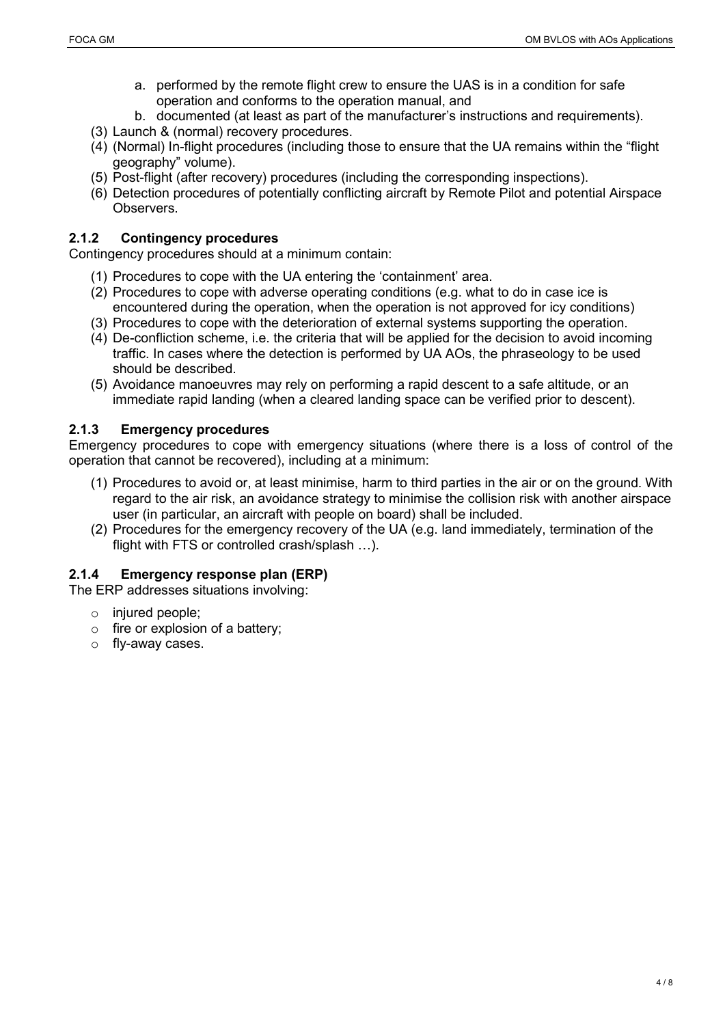- a. performed by the remote flight crew to ensure the UAS is in a condition for safe operation and conforms to the operation manual, and
- b. documented (at least as part of the manufacturer's instructions and requirements).
- (3) Launch & (normal) recovery procedures.
- (4) (Normal) In-flight procedures (including those to ensure that the UA remains within the "flight geography" volume).
- (5) Post-flight (after recovery) procedures (including the corresponding inspections).
- (6) Detection procedures of potentially conflicting aircraft by Remote Pilot and potential Airspace Observers.

#### <span id="page-5-0"></span>**2.1.2 Contingency procedures**

Contingency procedures should at a minimum contain:

- (1) Procedures to cope with the UA entering the 'containment' area.
- (2) Procedures to cope with adverse operating conditions (e.g. what to do in case ice is encountered during the operation, when the operation is not approved for icy conditions)
- (3) Procedures to cope with the deterioration of external systems supporting the operation.
- (4) De-confliction scheme, i.e. the criteria that will be applied for the decision to avoid incoming traffic. In cases where the detection is performed by UA AOs, the phraseology to be used should be described.
- (5) Avoidance manoeuvres may rely on performing a rapid descent to a safe altitude, or an immediate rapid landing (when a cleared landing space can be verified prior to descent).

#### <span id="page-5-1"></span>**2.1.3 Emergency procedures**

Emergency procedures to cope with emergency situations (where there is a loss of control of the operation that cannot be recovered), including at a minimum:

- (1) Procedures to avoid or, at least minimise, harm to third parties in the air or on the ground. With regard to the air risk, an avoidance strategy to minimise the collision risk with another airspace user (in particular, an aircraft with people on board) shall be included.
- (2) Procedures for the emergency recovery of the UA (e.g. land immediately, termination of the flight with FTS or controlled crash/splash …).

#### <span id="page-5-2"></span>**2.1.4 Emergency response plan (ERP)**

The ERP addresses situations involving:

- o injured people;
- o fire or explosion of a battery;
- o fly-away cases.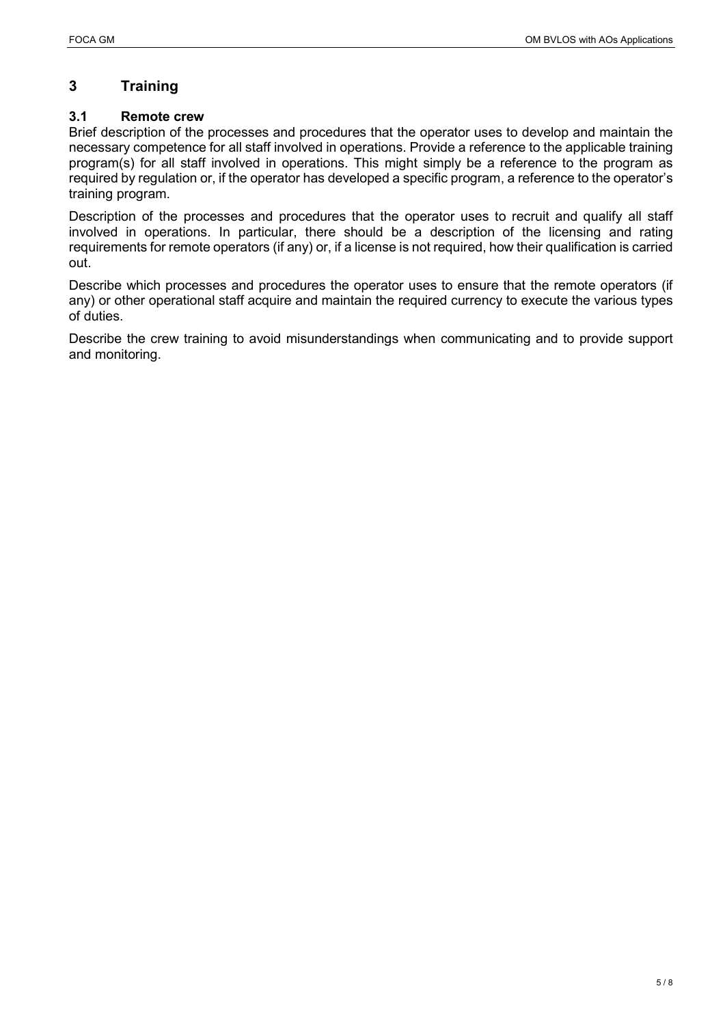# <span id="page-6-0"></span>**3 Training**

# <span id="page-6-1"></span>**3.1 Remote crew**

Brief description of the processes and procedures that the operator uses to develop and maintain the necessary competence for all staff involved in operations. Provide a reference to the applicable training program(s) for all staff involved in operations. This might simply be a reference to the program as required by regulation or, if the operator has developed a specific program, a reference to the operator's training program.

Description of the processes and procedures that the operator uses to recruit and qualify all staff involved in operations. In particular, there should be a description of the licensing and rating requirements for remote operators (if any) or, if a license is not required, how their qualification is carried out.

Describe which processes and procedures the operator uses to ensure that the remote operators (if any) or other operational staff acquire and maintain the required currency to execute the various types of duties.

Describe the crew training to avoid misunderstandings when communicating and to provide support and monitoring.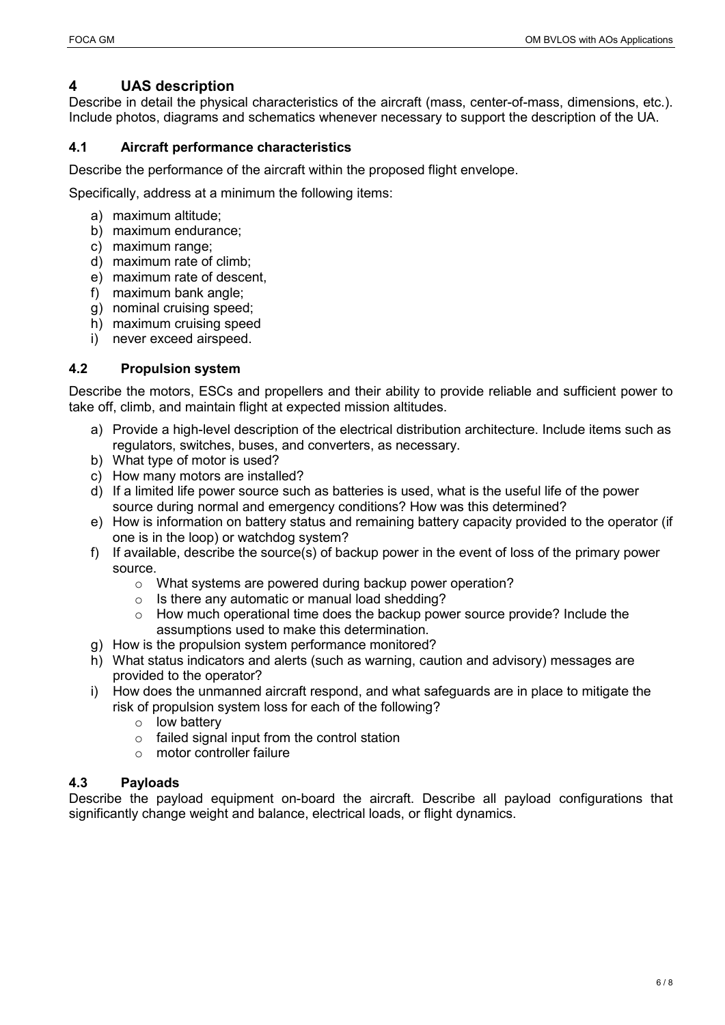# <span id="page-7-0"></span>**4 UAS description**

Describe in detail the physical characteristics of the aircraft (mass, center-of-mass, dimensions, etc.). Include photos, diagrams and schematics whenever necessary to support the description of the UA.

#### <span id="page-7-1"></span>**4.1 Aircraft performance characteristics**

Describe the performance of the aircraft within the proposed flight envelope.

Specifically, address at a minimum the following items:

- a) maximum altitude;
- b) maximum endurance;
- c) maximum range:
- d) maximum rate of climb;
- e) maximum rate of descent,
- f) maximum bank angle;
- g) nominal cruising speed;
- h) maximum cruising speed
- i) never exceed airspeed.

#### <span id="page-7-2"></span>**4.2 Propulsion system**

Describe the motors, ESCs and propellers and their ability to provide reliable and sufficient power to take off, climb, and maintain flight at expected mission altitudes.

- a) Provide a high-level description of the electrical distribution architecture. Include items such as regulators, switches, buses, and converters, as necessary.
- b) What type of motor is used?
- c) How many motors are installed?
- d) If a limited life power source such as batteries is used, what is the useful life of the power source during normal and emergency conditions? How was this determined?
- e) How is information on battery status and remaining battery capacity provided to the operator (if one is in the loop) or watchdog system?
- f) If available, describe the source(s) of backup power in the event of loss of the primary power source.
	- o What systems are powered during backup power operation?
	- o Is there any automatic or manual load shedding?
	- $\circ$  How much operational time does the backup power source provide? Include the assumptions used to make this determination.
- g) How is the propulsion system performance monitored?
- h) What status indicators and alerts (such as warning, caution and advisory) messages are provided to the operator?
- i) How does the unmanned aircraft respond, and what safeguards are in place to mitigate the risk of propulsion system loss for each of the following?
	- o low battery
	- $\circ$  failed signal input from the control station
	- o motor controller failure

# <span id="page-7-3"></span>**4.3 Payloads**

Describe the payload equipment on-board the aircraft. Describe all payload configurations that significantly change weight and balance, electrical loads, or flight dynamics.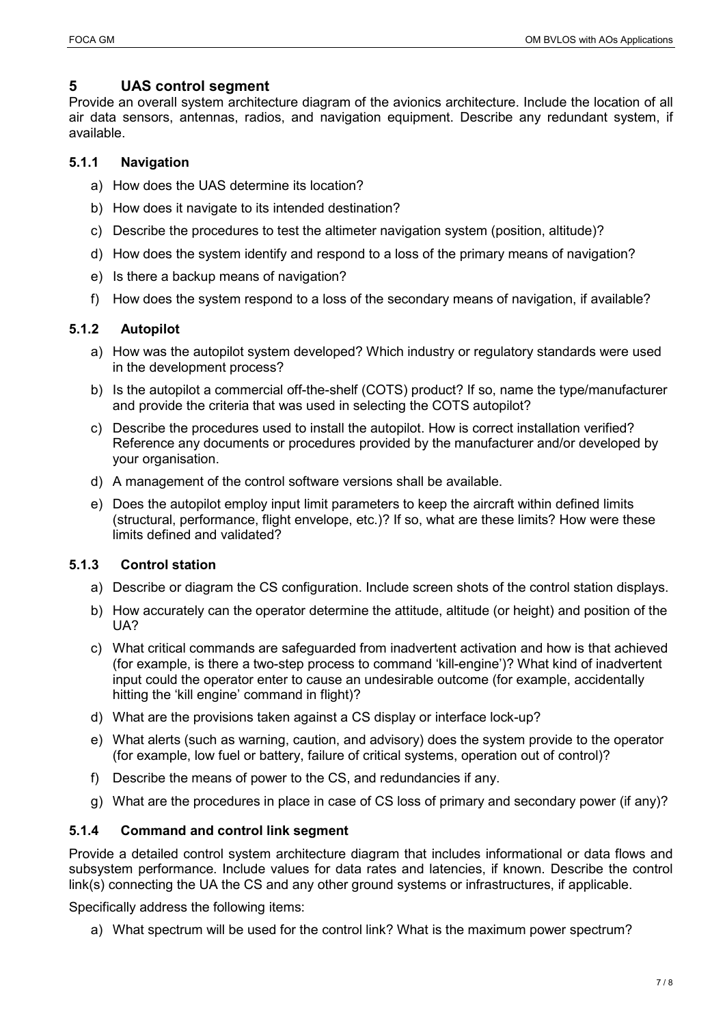#### <span id="page-8-0"></span>**5 UAS control segment**

Provide an overall system architecture diagram of the avionics architecture. Include the location of all air data sensors, antennas, radios, and navigation equipment. Describe any redundant system, if available.

#### <span id="page-8-1"></span>**5.1.1 Navigation**

- a) How does the UAS determine its location?
- b) How does it navigate to its intended destination?
- c) Describe the procedures to test the altimeter navigation system (position, altitude)?
- d) How does the system identify and respond to a loss of the primary means of navigation?
- e) Is there a backup means of navigation?
- f) How does the system respond to a loss of the secondary means of navigation, if available?

#### <span id="page-8-2"></span>**5.1.2 Autopilot**

- a) How was the autopilot system developed? Which industry or regulatory standards were used in the development process?
- b) Is the autopilot a commercial off-the-shelf (COTS) product? If so, name the type/manufacturer and provide the criteria that was used in selecting the COTS autopilot?
- c) Describe the procedures used to install the autopilot. How is correct installation verified? Reference any documents or procedures provided by the manufacturer and/or developed by your organisation.
- d) A management of the control software versions shall be available.
- e) Does the autopilot employ input limit parameters to keep the aircraft within defined limits (structural, performance, flight envelope, etc.)? If so, what are these limits? How were these limits defined and validated?

# <span id="page-8-3"></span>**5.1.3 Control station**

- a) Describe or diagram the CS configuration. Include screen shots of the control station displays.
- b) How accurately can the operator determine the attitude, altitude (or height) and position of the UA?
- c) What critical commands are safeguarded from inadvertent activation and how is that achieved (for example, is there a two-step process to command 'kill-engine')? What kind of inadvertent input could the operator enter to cause an undesirable outcome (for example, accidentally hitting the 'kill engine' command in flight)?
- d) What are the provisions taken against a CS display or interface lock-up?
- e) What alerts (such as warning, caution, and advisory) does the system provide to the operator (for example, low fuel or battery, failure of critical systems, operation out of control)?
- f) Describe the means of power to the CS, and redundancies if any.
- g) What are the procedures in place in case of CS loss of primary and secondary power (if any)?

#### <span id="page-8-4"></span>**5.1.4 Command and control link segment**

Provide a detailed control system architecture diagram that includes informational or data flows and subsystem performance. Include values for data rates and latencies, if known. Describe the control link(s) connecting the UA the CS and any other ground systems or infrastructures, if applicable.

Specifically address the following items:

a) What spectrum will be used for the control link? What is the maximum power spectrum?